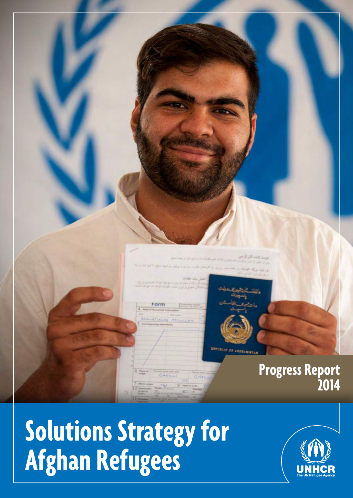

# **Solutions Strategy for Afghan Refugees**

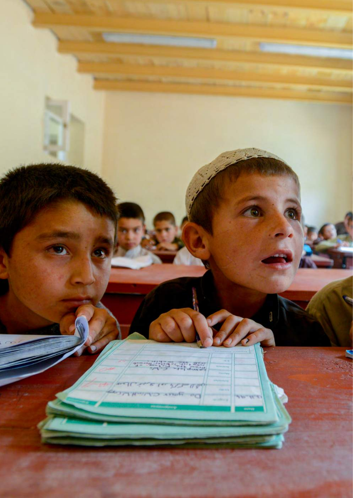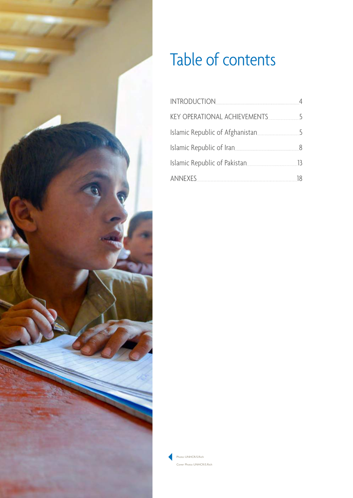

## Table of contents

| INTRODUCTION 4                                                       |  |
|----------------------------------------------------------------------|--|
| KEY OPERATIONAL ACHIEVEMENTS                                         |  |
| Islamic Republic of Afghanistan [11] Islamic Republic of Afghanistan |  |
| Islamic Republic of Iran                                             |  |
|                                                                      |  |
| ANNEXES 18                                                           |  |

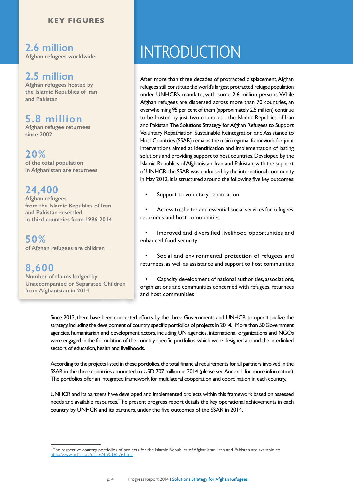#### **KEY FIGURES**

<span id="page-3-0"></span>**2.6 million Afghan refugees worldwide** 

### **2.5 million**

**Afghan refugees hosted by the Islamic Republics of Iran and Pakistan** 

### **5.8 million**

**Afghan refugee returnees since 2002**

#### **20%**

**of the total population in Afghanistan are returnees**

### **24,400**

**Afghan refugees from the Islamic Republics of Iran and Pakistan resettled in third countries from 1996-2014**

**50% of Afghan refugees are children**

### **8,600**

**Number of claims lodged by Unaccompanied or Separated Children from Afghanistan in 2014**

## INTRODUCTION

After more than three decades of protracted displacement, Afghan refugees still constitute the world's largest protracted refugee population under UNHCR's mandate, with some 2.6 million persons. While Afghan refugees are dispersed across more than 70 countries, an overwhelming 95 per cent of them (approximately 2.5 million) continue to be hosted by just two countries - the Islamic Republics of Iran and Pakistan. The Solutions Strategy for Afghan Refugees to Support Voluntary Repatriation, Sustainable Reintegration and Assistance to Host Countries (SSAR) remains the main regional framework for joint interventions aimed at identification and implementation of lasting solutions and providing support to host countries. Developed by the Islamic Republics of Afghanistan, Iran and Pakistan, with the support of UNHCR, the SSAR was endorsed by the international community in May 2012. It is structured around the following five key outcomes:

Support to voluntary repatriation

Access to shelter and essential social services for refugees, returnees and host communities

• Improved and diversified livelihood opportunities and enhanced food security

Social and environmental protection of refugees and returnees, as well as assistance and support to host communities

• Capacity development of national authorities, associations, organizations and communities concerned with refugees, returnees and host communities

Since 2012, there have been concerted efforts by the three Governments and UNHCR to operationalize the strategy, including the development of country specific portfolios of projects in 2014.**1** More than 50 Government agencies, humanitarian and development actors, including UN agencies, international organizations and NGOs were engaged in the formulation of the country specific portfolios, which were designed around the interlinked sectors of education, health and livelihoods.

According to the projects listed in these portfolios, the total financial requirements for all partners involved in the SSAR in the three countries amounted to USD 707 million in 2014 (please see Annex 1 for more information). The portfolios offer an integrated framework for multilateral cooperation and coordination in each country.

UNHCR and its partners have developed and implemented projects within this framework based on assessed needs and available resources. The present progress report details the key operational achievements in each country by UNHCR and its partners, under the five outcomes of the SSAR in 2014.

<sup>1</sup> The respective country portfolios of projects for the Islamic Republics of Afghanistan, Iran and Pakistan are available at: http://www.unhcr.org/pages/4f9016576.html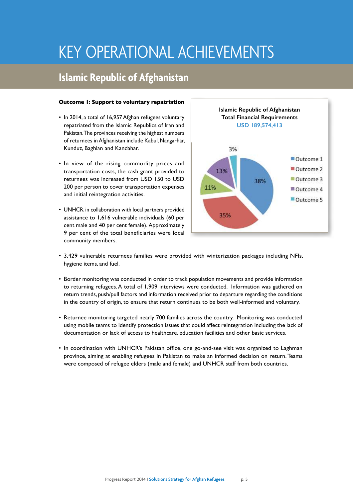## <span id="page-4-0"></span>KEY OPERATIONAL ACHIEVEMENTS

## **Islamic Republic of Afghanistan**

#### **Outcome 1: Support to voluntary repatriation**

- In 2014, a total of 16,957 Afghan refugees voluntary repatriated from the Islamic Republics of Iran and Pakistan. The provinces receiving the highest numbers of returnees in Afghanistan include Kabul, Nangarhar, Kunduz, Baghlan and Kandahar.
- In view of the rising commodity prices and transportation costs, the cash grant provided to returnees was increased from USD 150 to USD 200 per person to cover transportation expenses and initial reintegration activities.
- UNHCR, in collaboration with local partners provided assistance to 1,616 vulnerable individuals (60 per cent male and 40 per cent female). Approximately 9 per cent of the total beneficiaries were local community members.



- 3,429 vulnerable returnees families were provided with winterization packages including NFIs, hygiene items, and fuel.
- Border monitoring was conducted in order to track population movements and provide information to returning refugees. A total of 1,909 interviews were conducted. Information was gathered on return trends, push/pull factors and information received prior to departure regarding the conditions in the country of origin, to ensure that return continues to be both well-informed and voluntary.
- Returnee monitoring targeted nearly 700 families across the country. Monitoring was conducted using mobile teams to identify protection issues that could affect reintegration including the lack of documentation or lack of access to healthcare, education facilities and other basic services.
- In coordination with UNHCR's Pakistan office, one go-and-see visit was organized to Laghman province, aiming at enabling refugees in Pakistan to make an informed decision on return. Teams were composed of refugee elders (male and female) and UNHCR staff from both countries.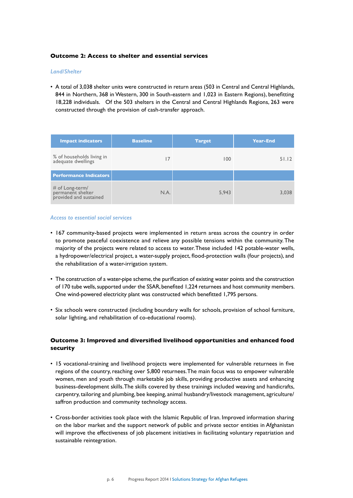#### **Outcome 2: Access to shelter and essential services**

#### *Land/Shelter*

• A total of 3,038 shelter units were constructed in return areas (503 in Central and Central Highlands, 844 in Northern, 368 in Western, 300 in South-eastern and 1,023 in Eastern Regions), benefitting 18,228 individuals. Of the 503 shelters in the Central and Central Highlands Regions, 263 were constructed through the provision of cash-transfer approach.

| <b>Impact indicators</b>                                       | <b>Baseline</b> | <b>Target</b> | <b>Year-End</b> |
|----------------------------------------------------------------|-----------------|---------------|-----------------|
| % of households living in<br>adequate dwellings                | 17              | 100           | 51.12           |
| <b>Performance Indicators</b>                                  |                 |               |                 |
| # of Long-term/<br>permanent shelter<br>provided and sustained | N.A.            | 5,943         | 3.038           |

#### *Access to essential social services*

- 167 community-based projects were implemented in return areas across the country in order to promote peaceful coexistence and relieve any possible tensions within the community. The majority of the projects were related to access to water. These included 142 potable-water wells, a hydropower/electrical project, a water-supply project, flood-protection walls (four projects), and the rehabilitation of a water-irrigation system.
- The construction of a water-pipe scheme, the purification of existing water points and the construction of 170 tube wells, supported under the SSAR, benefited 1,224 returnees and host community members. One wind-powered electricity plant was constructed which benefitted 1,795 persons.
- Six schools were constructed (including boundary walls for schools, provision of school furniture, solar lighting, and rehabilitation of co-educational rooms).

#### **Outcome 3: Improved and diversified livelihood opportunities and enhanced food security**

- 15 vocational-training and livelihood projects were implemented for vulnerable returnees in five regions of the country, reaching over 5,800 returnees. The main focus was to empower vulnerable women, men and youth through marketable job skills, providing productive assets and enhancing business-development skills. The skills covered by these trainings included weaving and handicrafts, carpentry, tailoring and plumbing, bee keeping, animal husbandry/livestock management, agriculture/ saffron production and community technology access.
- Cross-border activities took place with the Islamic Republic of Iran. Improved information sharing on the labor market and the support network of public and private sector entities in Afghanistan will improve the effectiveness of job placement initiatives in facilitating voluntary repatriation and sustainable reintegration.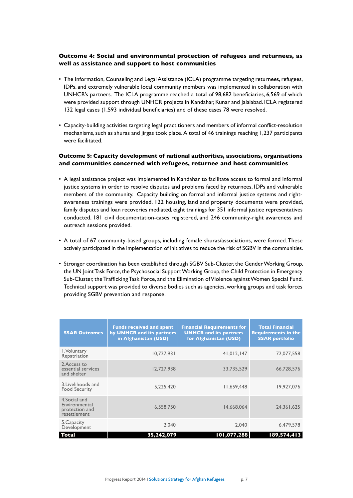#### **Outcome 4: Social and environmental protection of refugees and returnees, as well as assistance and support to host communities**

- The Information, Counseling and Legal Assistance (ICLA) programme targeting returnees, refugees, IDPs, and extremely vulnerable local community members was implemented in collaboration with UNHCR's partners. The ICLA programme reached a total of 98,682 beneficiaries, 6,569 of which were provided support through UNHCR projects in Kandahar, Kunar and Jalalabad. ICLA registered 132 legal cases (1,593 individual beneficiaries) and of these cases 78 were resolved.
- Capacity-building activities targeting legal practitioners and members of informal conflict-resolution mechanisms, such as shuras and jirgas took place. A total of 46 trainings reaching 1,237 participants were facilitated.

#### **Outcome 5: Capacity development of national authorities, associations, organisations and communities concerned with refugees, returnee and host communities**

- A legal assistance project was implemented in Kandahar to facilitate access to formal and informal justice systems in order to resolve disputes and problems faced by returnees, IDPs and vulnerable members of the community. Capacity building on formal and informal justice systems and rightawareness trainings were provided. 122 housing, land and property documents were provided, family disputes and loan recoveries mediated, eight trainings for 351 informal justice representatives conducted, 181 civil documentation-cases registered, and 246 community-right awareness and outreach sessions provided.
- A total of 67 community-based groups, including female shuras/associations, were formed. These actively participated in the implementation of initiatives to reduce the risk of SGBV in the communities.
- Stronger coordination has been established through SGBV Sub-Cluster, the Gender Working Group, the UN Joint Task Force, the Psychosocial Support Working Group, the Child Protection in Emergency Sub-Cluster, the Trafficking Task Force, and the Elimination of Violence against Women Special Fund. Technical support was provided to diverse bodies such as agencies, working groups and task forces providing SGBV prevention and response.

| <b>SSAR Outcomes</b>                                             | <b>Funds received and spent</b><br>by UNHCR and its partners<br>in Afghanistan (USD) | <b>Financial Requirements for</b><br><b>UNHCR and its partners</b><br>for Afghanistan (USD) | <b>Total Financial</b><br><b>Requirements in the</b><br><b>SSAR portfolio</b> |
|------------------------------------------------------------------|--------------------------------------------------------------------------------------|---------------------------------------------------------------------------------------------|-------------------------------------------------------------------------------|
| I.Voluntary<br>Repatriation                                      | 10,727,931                                                                           | 41,012,147                                                                                  | 72,077,558                                                                    |
| 2. Access to<br>essential services<br>and shelter                | 12,727,938                                                                           | 33,735,529                                                                                  | 66,728,576                                                                    |
| 3. Livelihoods and<br><b>Food Security</b>                       | 5,225,420                                                                            | 11,659,448                                                                                  | 19,927,076                                                                    |
| 4. Social and<br>Environmental<br>protection and<br>resettlement | 6.558.750                                                                            | 14,668,064                                                                                  | 24,361,625                                                                    |
| 5. Capacity<br>Development                                       | 2.040                                                                                | 2.040                                                                                       | 6,479,578                                                                     |
| Total                                                            | 35,242,079                                                                           | 101,077,288                                                                                 | 189,574,413                                                                   |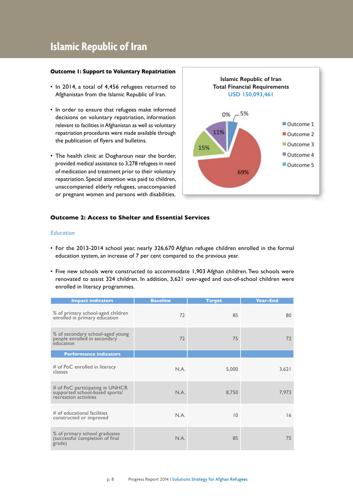## <span id="page-7-0"></span>**Islamic Republic of Iran**

#### **Outcome 1: Support to Voluntary Repatriation**

- In 2014, a total of 4,456 refugees returned to Afghanistan from the Islamic Republic of Iran.
- In order to ensure that refugees make informed decisions on voluntary repatriation, information relevant to facilities in Afghanistan as well as voluntary repatriation procedures were made available through the publication of flyers and bulletins.
- The health clinic at Dogharoun near the border, provided medical assistance to 3,278 refugees in need of medication and treatment prior to their voluntary repatriation. Special attention was paid to children, unaccompanied elderly refugees, unaccompanied or pregnant women and persons with disabilities.



#### **Outcome 2: Access to Shelter and Essential Services**

#### *Education*

- For the 2013-2014 school year, nearly 326,670 Afghan refugee children enrolled in the formal education system, an increase of 7 per cent compared to the previous year.
- Five new schools were constructed to accommodate 1,903 Afghan children. Two schools were renovated to assist 324 children. In addition, 3,621 over-aged and out-of-school children were enrolled in literacy programmes.

| <b>Impact indicators</b>                                                                   | <b>Baseline</b> | <b>Target</b> | <b>Year-End</b> |
|--------------------------------------------------------------------------------------------|-----------------|---------------|-----------------|
| % of primary school-aged children<br>enrolled in primary education                         | 72              | 85            | 80              |
| % of secondary school-aged young<br>people enrolled in secondary<br>education              | 72              | 75            | 72              |
| <b>Performance indicators</b>                                                              |                 |               |                 |
| $\#$ of PoC enrolled in literacy<br>classes                                                | N.A.            | 5,000         | 3,621           |
| # of PoC participating in UNHCR<br>supported school-based sports/<br>recreation activities | N.A.            | 8,750         | 7,973           |
| $#$ of educational facilities<br>constructed or improved                                   | N.A.            | 10            | 16              |
| % of primary school graduates<br>(successful completion of final<br>grade)                 | N.A.            | 85            | 75              |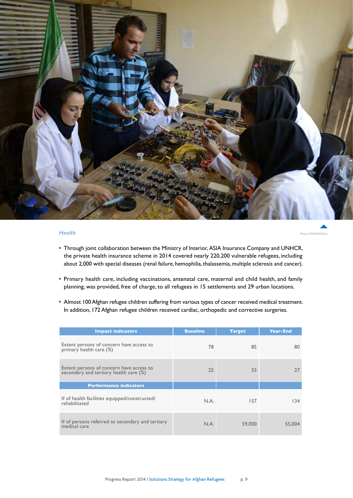

#### *Health*

Photo: UNHCR/S.Rich

- Through joint collaboration between the Ministry of Interior, ASIA Insurance Company and UNHCR, the private health insurance scheme in 2014 covered nearly 220,200 vulnerable refugees, including about 2,000 with special diseases (renal failure, hemophilia, thalassemia, multiple sclerosis and cancer).
- Primary health care, including vaccinations, antenatal care, maternal and child health, and family planning, was provided, free of charge, to all refugees in 15 settlements and 29 urban locations.
- Almost 100 Afghan refugee children suffering from various types of cancer received medical treatment. In addition, 172 Afghan refugee children received cardiac, orthopedic and corrective surgeries.

| <b>Impact indicators</b>                                                           | <b>Baseline</b> | <b>Target</b> | <b>Year-End</b> |
|------------------------------------------------------------------------------------|-----------------|---------------|-----------------|
| Extent persons of concern have access to<br>primary health care (%)                | 78              | 85            | 80              |
| Extent persons of concern have access to<br>secondary and tertiary health care (%) | 25              | 55            | 27              |
| <b>Performance indicators</b>                                                      |                 |               |                 |
| # of health facilities equipped/constructed/<br>rehabilitated                      | N.A.            | 157           | 134             |
| # of persons referred to secondary and tertiary<br>medical care                    | N.A.            | 59,000        | 55,004          |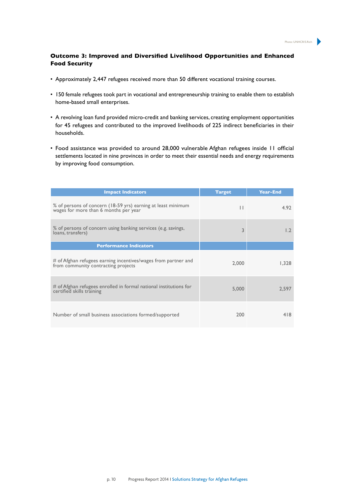#### **Outcome 3: Improved and Diversified Livelihood Opportunities and Enhanced Food Security**

- Approximately 2,447 refugees received more than 50 different vocational training courses.
- 150 female refugees took part in vocational and entrepreneurship training to enable them to establish home-based small enterprises.
- A revolving loan fund provided micro-credit and banking services, creating employment opportunities for 45 refugees and contributed to the improved livelihoods of 225 indirect beneficiaries in their households.
- Food assistance was provided to around 28,000 vulnerable Afghan refugees inside 11 official settlements located in nine provinces in order to meet their essential needs and energy requirements by improving food consumption.

| <b>Impact Indicators</b>                                                                              | <b>Target</b> | <b>Year-End</b> |
|-------------------------------------------------------------------------------------------------------|---------------|-----------------|
| % of persons of concern (18-59 yrs) earning at least minimum<br>wages for more than 6 months per year | $\mathsf{L}$  | 4.92            |
| % of persons of concern using banking services (e.g. savings,<br>loans, transfers)                    | 3             | 1.2             |
| <b>Performance Indicators</b>                                                                         |               |                 |
| # of Afghan refugees earning incentives/wages from partner and<br>from community contracting projects | 2,000         | 1,328           |
| # of Afghan refugees enrolled in formal national institutions for<br>certified skills training        | 5,000         | 2,597           |
| Number of small business associations formed/supported                                                | 200           | 418             |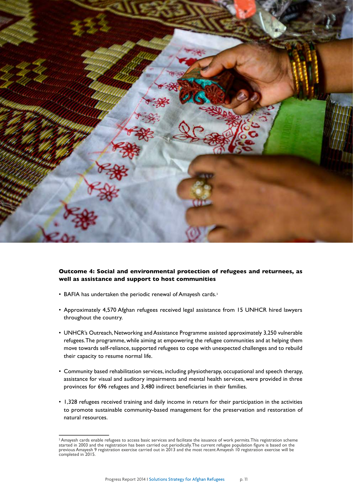

#### **Outcome 4: Social and environmental protection of refugees and returnees, as well as assistance and support to host communities**

- BAFIA has undertaken the periodic renewal of Amayesh cards.**<sup>2</sup>**
- Approximately 4,570 Afghan refugees received legal assistance from 15 UNHCR hired lawyers throughout the country.
- UNHCR's Outreach, Networking and Assistance Programme assisted approximately 3,250 vulnerable refugees. The programme, while aiming at empowering the refugee communities and at helping them move towards self-reliance, supported refugees to cope with unexpected challenges and to rebuild their capacity to resume normal life.
- Community based rehabilitation services, including physiotherapy, occupational and speech therapy, assistance for visual and auditory impairments and mental health services, were provided in three provinces for 696 refugees and 3,480 indirect beneficiaries in their families.
- 1,328 refugees received training and daily income in return for their participation in the activities to promote sustainable community-based management for the preservation and restoration of natural resources.

<sup>2</sup> Amayesh cards enable refugees to access basic services and facilitate the issuance of work permits. This registration scheme started in 2003 and the registration has been carried out periodically. The current refugee population figure is based on the previous Amayesh 9 registration exercise carried out in 2013 and the most recent Amayesh 10 registration exercise will be completed in 2015.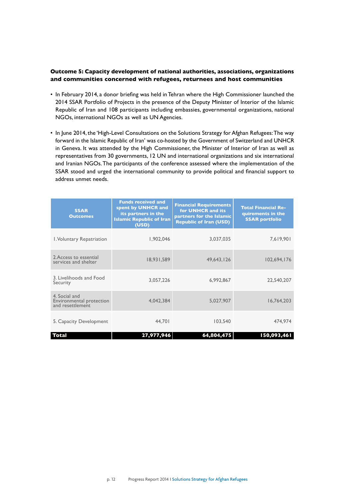#### **Outcome 5: Capacity development of national authorities, associations, organizations and communities concerned with refugees, returnees and host communities**

- In February 2014, a donor briefing was held in Tehran where the High Commissioner launched the 2014 SSAR Portfolio of Projects in the presence of the Deputy Minister of Interior of the Islamic Republic of Iran and 108 participants including embassies, governmental organizations, national NGOs, international NGOs as well as UN Agencies.
- In June 2014, the 'High-Level Consultations on the Solutions Strategy for Afghan Refugees: The way forward in the Islamic Republic of Iran' was co-hosted by the Government of Switzerland and UNHCR in Geneva. It was attended by the High Commissioner, the Minister of Interior of Iran as well as representatives from 30 governments, 12 UN and international organizations and six international and Iranian NGOs. The participants of the conference assessed where the implementation of the SSAR stood and urged the international community to provide political and financial support to address unmet needs.

| <b>SSAR</b><br><b>Outcomes</b>                                | <b>Funds received and</b><br>spent by UNHCR and<br>its partners in the<br><b>Islamic Republic of Iran</b><br>(USD) | <b>Financial Requirements</b><br>for UNHCR and its<br>partners for the Islamic<br><b>Republic of Iran (USD)</b> | <b>Total Financial Re-</b><br>quirements in the<br><b>SSAR portfolio</b> |
|---------------------------------------------------------------|--------------------------------------------------------------------------------------------------------------------|-----------------------------------------------------------------------------------------------------------------|--------------------------------------------------------------------------|
| I. Voluntary Repatriation                                     | 1,902,046                                                                                                          | 3,037,035                                                                                                       | 7,619,901                                                                |
| 2. Access to essential<br>services and shelter                | 18,931,589                                                                                                         | 49,643,126                                                                                                      | 102,694,176                                                              |
| 3. Livelihoods and Food<br>Security                           | 3,057,226                                                                                                          | 6,992,867                                                                                                       | 22,540,207                                                               |
| 4. Social and<br>Environmental protection<br>and resettlement | 4,042,384                                                                                                          | 5,027,907                                                                                                       | 16,764,203                                                               |
| 5. Capacity Development                                       | 44,701                                                                                                             | 103,540                                                                                                         | 474,974                                                                  |
| Total                                                         | 27,977,946                                                                                                         | 64,804,475                                                                                                      | 150,093,461                                                              |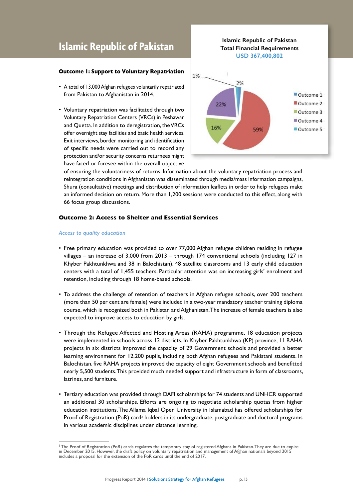## <span id="page-12-0"></span>**Islamic Republic of Pakistan**

#### **Outcome 1: Support to Voluntary Repatriation**

- A total of 13,000 Afghan refugees voluntarily repatriated from Pakistan to Afghanistan in 2014.
- Voluntary repatriation was facilitated through two Voluntary Repatriation Centers (VRCs) in Peshawar and Quetta. In addition to deregistration, the VRCs offer overnight stay facilities and basic health services. Exit interviews, border monitoring and identification of specific needs were carried out to record any protection and/or security concerns returnees might have faced or foresee within the overall objective



**Islamic Republic of Pakistan Total Financial Requirements**

of ensuring the voluntariness of returns. Information about the voluntary repatriation process and reintegration conditions in Afghanistan was disseminated through media/mass information campaigns, Shura (consultative) meetings and distribution of information leaflets in order to help refugees make an informed decision on return. More than 1,200 sessions were conducted to this effect, along with 66 focus group discussions.

#### **Outcome 2: Access to Shelter and Essential Services**

#### *Access to quality education*

- Free primary education was provided to over 77,000 Afghan refugee children residing in refugee villages – an increase of 3,000 from 2013 – through 174 conventional schools (including 127 in Khyber Pakhtunkhwa and 38 in Balochistan), 48 satellite classrooms and 13 early child education centers with a total of 1,455 teachers. Particular attention was on increasing girls' enrolment and retention, including through 18 home-based schools.
- To address the challenge of retention of teachers in Afghan refugee schools, over 200 teachers (more than 50 per cent are female) were included in a two-year mandatory teacher training diploma course, which is recognized both in Pakistan and Afghanistan. The increase of female teachers is also expected to improve access to education by girls.
- Through the Refugee Affected and Hosting Areas (RAHA) programme, 18 education projects were implemented in schools across 12 districts. In Khyber Pakhtunkhwa (KP) province, 11 RAHA projects in six districts improved the capacity of 29 Government schools and provided a better learning environment for 12,200 pupils, including both Afghan refugees and Pakistani students. In Balochistan, five RAHA projects improved the capacity of eight Government schools and benefitted nearly 5,500 students. This provided much needed support and infrastructure in form of classrooms, latrines, and furniture.
- Tertiary education was provided through DAFI scholarships for 74 students and UNHCR supported an additional 30 scholarships. Efforts are ongoing to negotiate scholarship quotas from higher education institutions. The Allama Iqbal Open University in Islamabad has offered scholarships for Proof of Registration (PoR) card**3** holders in its undergraduate, postgraduate and doctoral programs in various academic disciplines under distance learning.

<sup>&</sup>lt;sup>3</sup> The Proof of Registration (PoR) cards regulates the temporary stay of registered Afghans in Pakistan.They are due to expire in December 2015. However, the draft policy on voluntary repatriation and management of Afghan nationals beyond 2015 includes a proposal for the extension of the PoR cards until the end of 2017.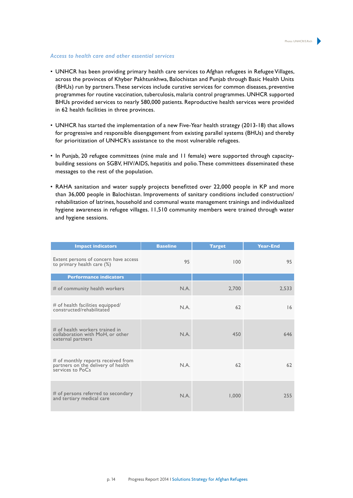#### *Access to health care and other essential services*

- UNHCR has been providing primary health care services to Afghan refugees in Refugee Villages, across the provinces of Khyber Pakhtunkhwa, Balochistan and Punjab through Basic Health Units (BHUs) run by partners. These services include curative services for common diseases, preventive programmes for routine vaccination, tuberculosis, malaria control programmes. UNHCR supported BHUs provided services to nearly 580,000 patients. Reproductive health services were provided in 62 health facilities in three provinces.
- UNHCR has started the implementation of a new Five-Year health strategy (2013-18) that allows for progressive and responsible disengagement from existing parallel systems (BHUs) and thereby for prioritization of UNHCR's assistance to the most vulnerable refugees.
- In Punjab, 20 refugee committees (nine male and 11 female) were supported through capacitybuilding sessions on SGBV, HIV/AIDS, hepatitis and polio. These committees disseminated these messages to the rest of the population.
- RAHA sanitation and water supply projects benefitted over 22,000 people in KP and more than 36,000 people in Balochistan. Improvements of sanitary conditions included construction/ rehabilitation of latrines, household and communal waste management trainings and individualized hygiene awareness in refugee villages. 11,510 community members were trained through water and hygiene sessions.

| <b>Impact indicators</b>                                                                     | <b>Baseline</b> | <b>Target</b> | <b>Year-End</b> |
|----------------------------------------------------------------------------------------------|-----------------|---------------|-----------------|
| Extent persons of concern have access<br>to primary health care (%)                          | 95              | 100           | 95              |
| <b>Performance indicators</b>                                                                |                 |               |                 |
| # of community health workers                                                                | N.A.            | 2,700         | 2,533           |
| # of health facilities equipped/<br>constructed/rehabilitated                                | N.A.            | 62            | 16              |
| $#$ of health workers trained in<br>collaboration with MoH, or other<br>external partners    | N.A.            | 450           | 646             |
| # of monthly reports received from<br>partners on the delivery of health<br>services to PoCs | N.A.            | 62            | 62              |
| # of persons referred to secondary<br>and tertiary medical care                              | N.A.            | 1,000         | 255             |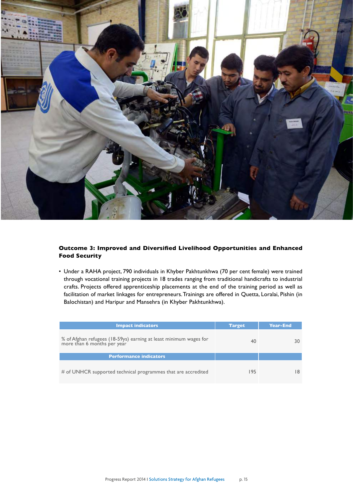

#### **Outcome 3: Improved and Diversified Livelihood Opportunities and Enhanced Food Security**

• Under a RAHA project, 790 individuals in Khyber Pakhtunkhwa (70 per cent female) were trained through vocational training projects in 18 trades ranging from traditional handicrafts to industrial crafts. Projects offered apprenticeship placements at the end of the training period as well as facilitation of market linkages for entrepreneurs. Trainings are offered in Quetta, Loralai, Pishin (in Balochistan) and Haripur and Mansehra (in Khyber Pakhtunkhwa).

| <b>Impact indicators</b>                                                                      | <b>Target</b> | <b>Year-End</b> |
|-----------------------------------------------------------------------------------------------|---------------|-----------------|
| % of Afghan refugees (18-59ys) earning at least minimum wages for more than 6 months per year | 40            | 30              |
| <b>Performance indicators</b>                                                                 |               |                 |
| # of UNHCR supported technical programmes that are accredited                                 | 195           | 18              |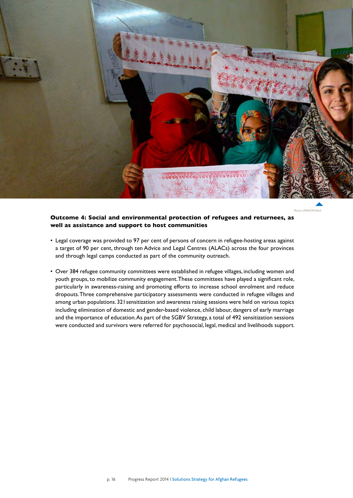

to: UNHCR/S.Rich

#### **Outcome 4: Social and environmental protection of refugees and returnees, as well as assistance and support to host communities**

- Legal coverage was provided to 97 per cent of persons of concern in refugee-hosting areas against a target of 90 per cent, through ten Advice and Legal Centres (ALACs) across the four provinces and through legal camps conducted as part of the community outreach.
- Over 384 refugee community committees were established in refugee villages, including women and youth groups, to mobilize community engagement. These committees have played a significant role, particularly in awareness-raising and promoting efforts to increase school enrolment and reduce dropouts. Three comprehensive participatory assessments were conducted in refugee villages and among urban populations. 321 sensitization and awareness raising sessions were held on various topics including elimination of domestic and gender-based violence, child labour, dangers of early marriage and the importance of education. As part of the SGBV Strategy, a total of 492 sensitization sessions were conducted and survivors were referred for psychosocial, legal, medical and livelihoods support.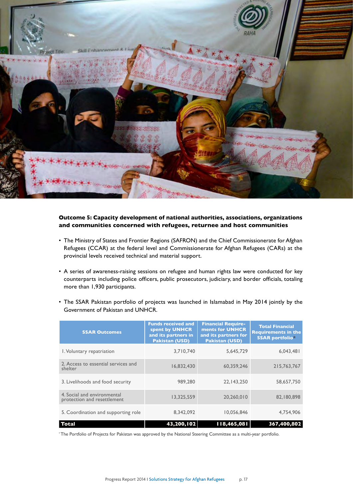

#### **Outcome 5: Capacity development of national authorities, associations, organizations and communities concerned with refugees, returnee and host communities**

- The Ministry of States and Frontier Regions (SAFRON) and the Chief Commissionerate for Afghan Refugees (CCAR) at the federal level and Commissionerate for Afghan Refugees (CARs) at the provincial levels received technical and material support.
- A series of awareness-raising sessions on refugee and human rights law were conducted for key counterparts including police officers, public prosecutors, judiciary, and border officials, totaling more than 1,930 participants.
- The SSAR Pakistan portfolio of projects was launched in Islamabad in May 2014 jointly by the Government of Pakistan and UNHCR.

| <b>SSAR Outcomes</b>                                       | <b>Funds received and</b><br>spent by UNHCR<br>and its partners in<br><b>Pakistan (USD)</b> | <b>Financial Require-</b><br><b>ments for UNHCR</b><br>and its partners for<br><b>Pakistan (USD)</b> | <b>Total Financial</b><br><b>Requirements in the</b><br><b>SSAR portfolio*</b> |
|------------------------------------------------------------|---------------------------------------------------------------------------------------------|------------------------------------------------------------------------------------------------------|--------------------------------------------------------------------------------|
| I. Voluntary repatriation                                  | 3,710,740                                                                                   | 5,645,729                                                                                            | 6,043,481                                                                      |
| 2. Access to essential services and<br>shelter             | 16,832,430                                                                                  | 60.359.246                                                                                           | 215,763,767                                                                    |
| 3. Livelihoods and food security                           | 989,280                                                                                     | 22.143.250                                                                                           | 58.657.750                                                                     |
| 4. Social and environmental<br>protection and resettlement | 13,325,559                                                                                  | 20.260.010                                                                                           | 82.180.898                                                                     |
| 5. Coordination and supporting role                        | 8,342,092                                                                                   | 10,056,846                                                                                           | 4,754,906                                                                      |
| Total                                                      | 43,200,102                                                                                  | 118,465,081                                                                                          | 367,400,802                                                                    |

\* The Portfolio of Projects for Pakistan was approved by the National Steering Committee as a multi-year portfolio.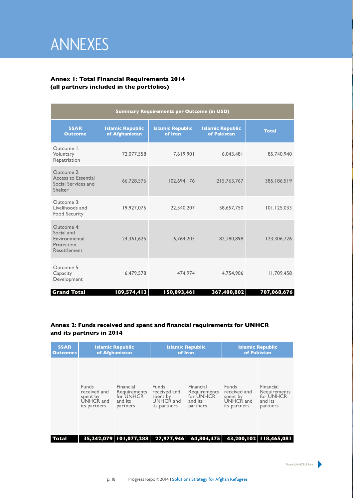## <span id="page-17-0"></span>ANNEXES

#### **Annex 1: Total Financial Requirements 2014 (all partners included in the portfolios)**

| <b>Summary Requirements per Outcome (in USD)</b>                         |                                           |                                    |                                        |               |  |
|--------------------------------------------------------------------------|-------------------------------------------|------------------------------------|----------------------------------------|---------------|--|
| <b>SSAR</b><br><b>Outcome</b>                                            | <b>Islamic Republic</b><br>of Afghanistan | <b>Islamic Republic</b><br>of Iran | <b>Islamic Republic</b><br>of Pakistan | <b>Total</b>  |  |
| Outcome I:<br>Voluntary<br>Repatriation                                  | 72,077,558                                | 7,619,901                          | 6,043,481                              | 85.740.940    |  |
| Outcome 2:<br>Access to Essential<br>Social Services and<br>Shelter      | 66,728,576                                | 102.694.176                        | 215,763,767                            | 385, 186, 519 |  |
| Outcome 3:<br>Livelihoods and<br><b>Food Security</b>                    | 19,927,076                                | 22,540,207                         | 58,657,750                             | 101,125,033   |  |
| Outcome 4:<br>Social and<br>Environmental<br>Protection,<br>Resettlement | 24,361,625                                | 16,764,203                         | 82,180,898                             | 123,306,726   |  |
| Outcome 5:<br>Capacity<br>Development                                    | 6,479,578                                 | 474,974                            | 4,754,906                              | 11,709,458    |  |
| <b>Grand Total</b>                                                       | 189,574,413                               | 150,093,461                        | 367,400,802                            | 707,068,676   |  |

#### **Annex 2: Funds received and spent and financial requirements for UNHCR and its partners in 2014**

| <b>SSAR</b><br><b>Outcomes</b> |                                                                       | <b>Islamic Republic</b><br>of Afghanistan                     |                                                                       | <b>Islamic Republic</b><br>of Iran                            |                                                                       | <b>Islamic Republic</b><br>of Pakistan                        |
|--------------------------------|-----------------------------------------------------------------------|---------------------------------------------------------------|-----------------------------------------------------------------------|---------------------------------------------------------------|-----------------------------------------------------------------------|---------------------------------------------------------------|
|                                | <b>Funds</b><br>received and<br>spent by<br>UNHCR and<br>its partners | Financial<br>Requirements<br>for UNHCR<br>and its<br>partners | <b>Funds</b><br>received and<br>spent by<br>UNHCR and<br>its partners | Financial<br>Requirements<br>for UNHCR<br>and its<br>partners | <b>Funds</b><br>received and<br>spent by<br>UNHCR and<br>its partners | Financial<br>Requirements<br>for UNHCR<br>and its<br>partners |
| <b>Total</b>                   |                                                                       |                                                               | 35, 242, 079   101, 077, 288   27, 977, 946                           | 64,804,475                                                    |                                                                       | 43,200,102   118,465,081                                      |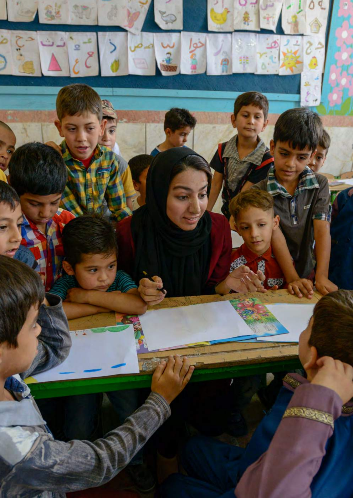